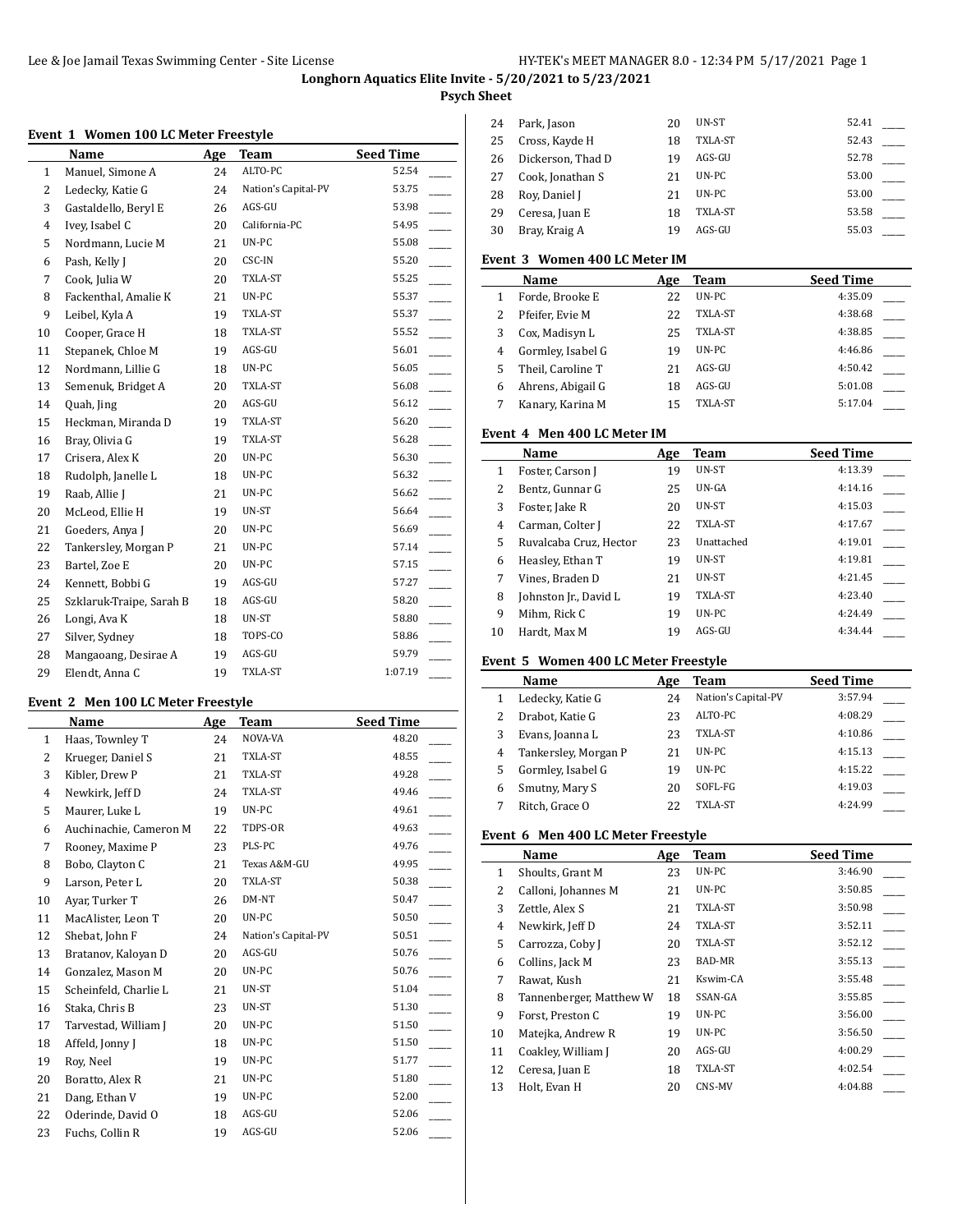### **Psych Sheet**

### **Event 1 Women 100 LC Meter Freestyle**

|              | Name                     | Age | <b>Team</b>         | <b>Seed Time</b> |
|--------------|--------------------------|-----|---------------------|------------------|
| $\mathbf{1}$ | Manuel, Simone A         | 24  | ALTO-PC             | 52.54            |
| 2            | Ledecky, Katie G         | 24  | Nation's Capital-PV | 53.75            |
| 3            | Gastaldello, Beryl E     | 26  | AGS-GU              | 53.98            |
| 4            | Ivey, Isabel C           | 20  | California-PC       | 54.95            |
| 5            | Nordmann, Lucie M        | 21  | UN-PC               | 55.08            |
| 6            | Pash, Kelly J            | 20  | CSC-IN              | 55.20            |
| 7            | Cook, Julia W            | 20  | TXLA-ST             | 55.25            |
| 8            | Fackenthal, Amalie K     | 21  | UN-PC               | 55.37            |
| 9            | Leibel, Kyla A           | 19  | TXLA-ST             | 55.37            |
| 10           | Cooper, Grace H          | 18  | TXLA-ST             | 55.52            |
| 11           | Stepanek, Chloe M        | 19  | AGS-GU              | 56.01            |
| 12           | Nordmann, Lillie G       | 18  | UN-PC               | 56.05            |
| 13           | Semenuk, Bridget A       | 20  | TXLA-ST             | 56.08            |
| 14           | Quah, Jing               | 20  | AGS-GU              | 56.12            |
| 15           | Heckman, Miranda D       | 19  | TXLA-ST             | 56.20            |
| 16           | Bray, Olivia G           | 19  | TXLA-ST             | 56.28            |
| 17           | Crisera, Alex K          | 20  | UN-PC               | 56.30            |
| 18           | Rudolph, Janelle L       | 18  | UN-PC               | 56.32            |
| 19           | Raab, Allie J            | 21  | UN-PC               | 56.62            |
| 20           | McLeod, Ellie H          | 19  | UN-ST               | 56.64            |
| 21           | Goeders, Anya J          | 20  | UN-PC               | 56.69            |
| 22           | Tankersley, Morgan P     | 21  | UN-PC               | 57.14            |
| 23           | Bartel, Zoe E            | 20  | UN-PC               | 57.15            |
| 24           | Kennett, Bobbi G         | 19  | AGS-GU              | 57.27            |
| 25           | Szklaruk-Traipe, Sarah B | 18  | AGS-GU              | 58.20            |
| 26           | Longi, Ava K             | 18  | UN-ST               | 58.80            |
| 27           | Silver, Sydney           | 18  | TOPS-CO             | 58.86            |
| 28           | Mangaoang, Desirae A     | 19  | AGS-GU              | 59.79            |
| 29           | Elendt, Anna C           | 19  | TXLA-ST             | 1:07.19          |

# **Event 2 Men 100 LC Meter Freestyle**

|                | Name                   | Age | Team                | <b>Seed Time</b> |
|----------------|------------------------|-----|---------------------|------------------|
| $\mathbf{1}$   | Haas, Townley T        | 24  | NOVA-VA             | 48.20            |
| 2              | Krueger, Daniel S      | 21  | TXLA-ST             | 48.55            |
| 3              | Kibler, Drew P         | 21  | TXLA-ST             | 49.28            |
| $\overline{4}$ | Newkirk, Jeff D        | 24  | TXLA-ST             | 49.46            |
| 5              | Maurer, Luke L         | 19  | UN-PC               | 49.61            |
| 6              | Auchinachie, Cameron M | 22  | TDPS-OR             | 49.63            |
| 7              | Rooney, Maxime P       | 23  | PLS-PC              | 49.76            |
| 8              | Bobo, Clayton C        | 21  | Texas A&M-GU        | 49.95            |
| 9              | Larson, Peter L        | 20  | TXLA-ST             | 50.38            |
| 10             | Ayar, Turker T         | 26  | DM-NT               | 50.47            |
| 11             | MacAlister, Leon T     | 20  | UN-PC               | 50.50            |
| 12             | Shebat, John F         | 24  | Nation's Capital-PV | 50.51            |
| 13             | Bratanov, Kaloyan D    | 20  | AGS-GU              | 50.76            |
| 14             | Gonzalez, Mason M      | 20  | UN-PC               | 50.76            |
| 15             | Scheinfeld, Charlie L  | 21  | UN-ST               | 51.04            |
| 16             | Staka, Chris B         | 23  | UN-ST               | 51.30            |
| 17             | Tarvestad, William J   | 20  | UN-PC               | 51.50            |
| 18             | Affeld, Jonny J        | 18  | UN-PC               | 51.50            |
| 19             | Roy, Neel              | 19  | UN-PC               | 51.77            |
| 20             | Boratto, Alex R        | 21  | UN-PC               | 51.80            |
| 21             | Dang, Ethan V          | 19  | UN-PC               | 52.00            |
| 22             | Oderinde, David O      | 18  | AGS-GU              | 52.06            |
| 23             | Fuchs, Collin R        | 19  | AGS-GU              | 52.06            |

| 24 | Park, Jason       | 20 | UN-ST   | 52.41 |  |
|----|-------------------|----|---------|-------|--|
| 25 | Cross, Kayde H    | 18 | TXLA-ST | 52.43 |  |
| 26 | Dickerson, Thad D | 19 | AGS-GU  | 52.78 |  |
| 27 | Cook, Jonathan S  | 21 | UN-PC   | 53.00 |  |
| 28 | Roy, Daniel J     | 21 | UN-PC   | 53.00 |  |
| 29 | Ceresa, Juan E    | 18 | TXLA-ST | 53.58 |  |
| 30 | Bray, Kraig A     | 19 | AGS-GU  | 55.03 |  |

# **Event 3 Women 400 LC Meter IM**

|   | Name              | Age | Team    | <b>Seed Time</b> |
|---|-------------------|-----|---------|------------------|
|   | Forde, Brooke E   | 22  | UN-PC   | 4:35.09          |
| 2 | Pfeifer, Evie M   | 22  | TXLA-ST | 4:38.68          |
| 3 | Cox, Madisyn L    | 25  | TXLA-ST | 4:38.85          |
| 4 | Gormley, Isabel G | 19  | UN-PC   | 4:46.86          |
| 5 | Theil, Caroline T | 21  | AGS-GU  | 4:50.42          |
| 6 | Ahrens, Abigail G | 18  | AGS-GU  | 5:01.08          |
|   | Kanary, Karina M  | 15  | TXLA-ST | 5:17.04          |

#### **Event 4 Men 400 LC Meter IM**

|    | Name                   | Age | Team           | <b>Seed Time</b> |
|----|------------------------|-----|----------------|------------------|
| 1  | Foster, Carson J       | 19  | UN-ST          | 4:13.39          |
| 2  | Bentz, Gunnar G        | 25  | UN-GA          | 4:14.16          |
| 3  | Foster, Jake R         | 20  | UN-ST          | 4:15.03          |
| 4  | Carman, Colter J       | 22  | <b>TXLA-ST</b> | 4:17.67          |
| 5  | Ruvalcaba Cruz, Hector | 23  | Unattached     | 4:19.01          |
| 6  | Heasley, Ethan T       | 19  | UN-ST          | 4:19.81          |
| 7  | Vines. Braden D        | 21  | UN-ST          | 4:21.45          |
| 8  | Johnston Jr., David L  | 19  | <b>TXLA-ST</b> | 4:23.40          |
| 9  | Mihm, Rick C           | 19  | UN-PC          | 4:24.49          |
| 10 | Hardt, Max M           | 19  | AGS-GU         | 4:34.44          |

# **Event 5 Women 400 LC Meter Freestyle**

|   | Name                 | Age | Team                | <b>Seed Time</b> |
|---|----------------------|-----|---------------------|------------------|
|   | Ledecky, Katie G     | 24  | Nation's Capital-PV | 3:57.94          |
| 2 | Drabot, Katie G      | 23  | ALTO-PC             | 4:08.29          |
| 3 | Evans, Joanna L      | 23  | TXLA-ST             | 4:10.86          |
| 4 | Tankersley, Morgan P | 21  | $UN-PC$             | 4:15.13          |
| 5 | Gormley, Isabel G    | 19  | $UN-PC$             | 4:15.22          |
| 6 | Smutny, Mary S       | 20  | SOFL-FG             | 4:19.03          |
|   | Ritch, Grace O       | 22  | TXLA-ST             | 4:24.99          |

### **Event 6 Men 400 LC Meter Freestyle**

|    | Name                    | Age | Team     | <b>Seed Time</b> |
|----|-------------------------|-----|----------|------------------|
| 1  | Shoults, Grant M        | 23  | UN-PC    | 3:46.90          |
| 2  | Calloni, Johannes M     | 21  | UN-PC    | 3:50.85          |
| 3  | Zettle, Alex S          | 21  | TXLA-ST  | 3:50.98          |
| 4  | Newkirk, Jeff D         | 24  | TXLA-ST  | 3:52.11          |
| 5  | Carrozza, Coby J        | 20  | TXLA-ST  | 3:52.12          |
| 6  | Collins, Jack M         | 23  | BAD-MR   | 3:55.13          |
| 7  | Rawat, Kush             | 21  | Kswim-CA | 3:55.48          |
| 8  | Tannenberger, Matthew W | 18  | SSAN-GA  | 3:55.85          |
| 9  | Forst, Preston C        | 19  | UN-PC    | 3:56.00          |
| 10 | Matejka, Andrew R       | 19  | UN-PC    | 3:56.50          |
| 11 | Coakley, William J      | 20  | AGS-GU   | 4:00.29          |
| 12 | Ceresa, Juan E          | 18  | TXLA-ST  | 4:02.54          |
| 13 | Holt, Evan H            | 20  | CNS-MV   | 4:04.88          |
|    |                         |     |          |                  |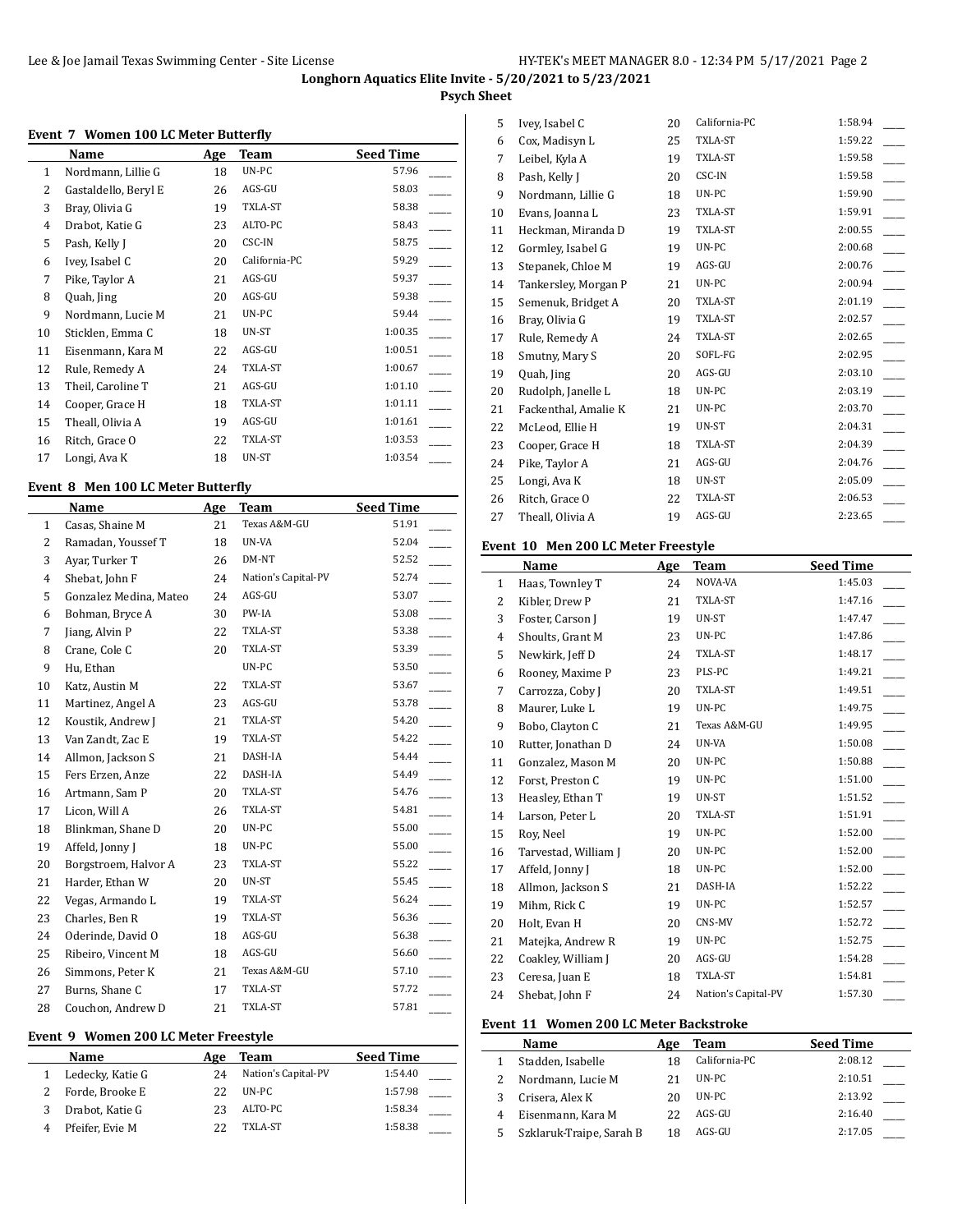### **Psych Sheet**

### **Event 7 Women 100 LC Meter Butterfly**

|                | Name                 | Age | Team          | <b>Seed Time</b> |
|----------------|----------------------|-----|---------------|------------------|
| 1              | Nordmann, Lillie G   | 18  | UN-PC         | 57.96            |
| $\overline{2}$ | Gastaldello, Beryl E | 26  | AGS-GU        | 58.03            |
| 3              | Bray, Olivia G       | 19  | TXLA-ST       | 58.38            |
| $\overline{4}$ | Drabot, Katie G      | 23  | ALTO-PC       | 58.43            |
| 5              | Pash, Kelly J        | 20  | CSC-IN        | 58.75            |
| 6              | Ivey, Isabel C       | 20  | California-PC | 59.29            |
| 7              | Pike, Taylor A       | 21  | AGS-GU        | 59.37            |
| 8              | Quah, Jing           | 20  | AGS-GU        | 59.38            |
| 9              | Nordmann, Lucie M    | 21  | UN-PC         | 59.44            |
| 10             | Sticklen, Emma C     | 18  | UN-ST         | 1:00.35          |
| 11             | Eisenmann, Kara M    | 22  | AGS-GU        | 1:00.51          |
| 12             | Rule, Remedy A       | 24  | TXLA-ST       | 1:00.67          |
| 13             | Theil, Caroline T    | 21  | AGS-GU        | 1:01.10          |
| 14             | Cooper, Grace H      | 18  | TXLA-ST       | 1:01.11          |
| 15             | Theall, Olivia A     | 19  | AGS-GU        | 1:01.61          |
| 16             | Ritch, Grace O       | 22  | TXLA-ST       | 1:03.53          |
| 17             | Longi, Ava K         | 18  | UN-ST         | 1:03.54          |

### **Event 8 Men 100 LC Meter Butterfly**

|                | <b>Name</b>            | Age | <b>Team</b>         | <b>Seed Time</b> |
|----------------|------------------------|-----|---------------------|------------------|
| $\mathbf{1}$   | Casas, Shaine M        | 21  | Texas A&M-GU        | 51.91            |
| 2              | Ramadan, Youssef T     | 18  | UN-VA               | 52.04            |
| 3              | Avar, Turker T         | 26  | DM-NT               | 52.52            |
| $\overline{4}$ | Shebat, John F         | 24  | Nation's Capital-PV | 52.74            |
| 5              | Gonzalez Medina, Mateo | 24  | AGS-GU              | 53.07            |
| 6              | Bohman, Bryce A        | 30  | PW-IA               | 53.08            |
| 7              | Jiang, Alvin P         | 22  | TXLA-ST             | 53.38            |
| 8              | Crane, Cole C          | 20  | TXLA-ST             | 53.39            |
| 9              | Hu, Ethan              |     | UN-PC               | 53.50            |
| 10             | Katz, Austin M         | 22  | TXLA-ST             | 53.67            |
| 11             | Martinez, Angel A      | 23  | AGS-GU              | 53.78            |
| 12             | Koustik, Andrew J      | 21  | TXLA-ST             | 54.20            |
| 13             | Van Zandt, Zac E       | 19  | TXLA-ST             | 54.22            |
| 14             | Allmon, Jackson S      | 21  | DASH-IA             | 54.44            |
| 15             | Fers Erzen, Anze       | 22  | DASH-IA             | 54.49            |
| 16             | Artmann, Sam P         | 20  | TXLA-ST             | 54.76            |
| 17             | Licon, Will A          | 26  | TXLA-ST             | 54.81            |
| 18             | Blinkman, Shane D      | 20  | UN-PC               | 55.00            |
| 19             | Affeld, Jonny J        | 18  | UN-PC               | 55.00            |
| 20             | Borgstroem, Halvor A   | 23  | TXLA-ST             | 55.22            |
| 21             | Harder, Ethan W        | 20  | UN-ST               | 55.45            |
| 22             | Vegas, Armando L       | 19  | TXLA-ST             | 56.24            |
| 23             | Charles, Ben R         | 19  | TXLA-ST             | 56.36            |
| 24             | Oderinde, David O      | 18  | AGS-GU              | 56.38            |
| 25             | Ribeiro, Vincent M     | 18  | AGS-GU              | 56.60            |
| 26             | Simmons, Peter K       | 21  | Texas A&M-GU        | 57.10            |
| 27             | Burns, Shane C         | 17  | TXLA-ST             | 57.72            |
| 28             | Couchon, Andrew D      | 21  | TXLA-ST             | 57.81            |

### **Event 9 Women 200 LC Meter Freestyle**

| <b>Name</b>      | Age | Team                | <b>Seed Time</b> |
|------------------|-----|---------------------|------------------|
| Ledecky, Katie G | 24  | Nation's Capital-PV | 1:54.40          |
| Forde, Brooke E  | フフ  | UN-PC               | 1:57.98          |
| Drabot, Katie G  | 23  | ALTO-PC             | 1:58.34          |
| Pfeifer, Evie M  | フフ  | TXLA-ST             | 1:58.38          |

| Ivey, Isabel C       | 20 | California-PC | 1:58.94 |
|----------------------|----|---------------|---------|
| Cox, Madisyn L       | 25 | TXLA-ST       | 1:59.22 |
| Leibel, Kyla A       | 19 | TXLA-ST       | 1:59.58 |
| Pash, Kelly J        | 20 | CSC-IN        | 1:59.58 |
| Nordmann, Lillie G   | 18 | UN-PC         | 1:59.90 |
| Evans, Joanna L      | 23 | TXLA-ST       | 1:59.91 |
| Heckman, Miranda D   | 19 | TXLA-ST       | 2:00.55 |
| Gormley, Isabel G    | 19 | UN-PC         | 2:00.68 |
| Stepanek, Chloe M    | 19 | AGS-GU        | 2:00.76 |
| Tankersley, Morgan P | 21 | UN-PC         | 2:00.94 |
| Semenuk, Bridget A   | 20 | TXLA-ST       | 2:01.19 |
| Bray, Olivia G       | 19 | TXLA-ST       | 2:02.57 |
| Rule, Remedy A       | 24 | TXLA-ST       | 2:02.65 |
| Smutny, Mary S       | 20 | SOFL-FG       | 2:02.95 |
| Quah, Jing           | 20 | AGS-GU        | 2:03.10 |
| Rudolph, Janelle L   | 18 | UN-PC         | 2:03.19 |
| Fackenthal, Amalie K | 21 | UN-PC         | 2:03.70 |
| McLeod, Ellie H      | 19 | UN-ST         | 2:04.31 |
| Cooper, Grace H      | 18 | TXLA-ST       | 2:04.39 |
| Pike, Taylor A       | 21 | AGS-GU        | 2:04.76 |
| Longi, Ava K         | 18 | UN-ST         | 2:05.09 |
| Ritch, Grace O       | 22 | TXLA-ST       | 2:06.53 |
| Theall, Olivia A     | 19 | AGS-GU        | 2:23.65 |
|                      |    |               |         |

### **Event 10 Men 200 LC Meter Freestyle**

|              | Name                 | Age | <b>Team</b>         | <b>Seed Time</b> |
|--------------|----------------------|-----|---------------------|------------------|
| $\mathbf{1}$ | Haas, Townley T      | 24  | NOVA-VA             | 1:45.03          |
| 2            | Kibler, Drew P       | 21  | TXLA-ST             | 1:47.16          |
| 3            | Foster, Carson J     | 19  | UN-ST               | 1:47.47          |
| 4            | Shoults, Grant M     | 23  | UN-PC               | 1:47.86          |
| 5            | Newkirk, Jeff D      | 24  | TXLA-ST             | 1:48.17          |
| 6            | Rooney, Maxime P     | 23  | PLS-PC              | 1:49.21          |
| 7            | Carrozza, Coby J     | 20  | TXLA-ST             | 1:49.51          |
| 8            | Maurer, Luke L       | 19  | UN-PC               | 1:49.75          |
| 9            | Bobo, Clayton C      | 21  | Texas A&M-GU        | 1:49.95          |
| 10           | Rutter, Jonathan D   | 24  | UN-VA               | 1:50.08          |
| 11           | Gonzalez, Mason M    | 20  | UN-PC               | 1:50.88          |
| 12           | Forst, Preston C     | 19  | UN-PC               | 1:51.00          |
| 13           | Heasley, Ethan T     | 19  | UN-ST               | 1:51.52          |
| 14           | Larson, Peter L      | 20  | TXLA-ST             | 1:51.91          |
| 15           | Roy, Neel            | 19  | UN-PC               | 1:52.00          |
| 16           | Tarvestad, William J | 20  | UN-PC               | 1:52.00          |
| 17           | Affeld, Jonny J      | 18  | UN-PC               | 1:52.00          |
| 18           | Allmon, Jackson S    | 21  | DASH-IA             | 1:52.22          |
| 19           | Mihm, Rick C         | 19  | UN-PC               | 1:52.57          |
| 20           | Holt, Evan H         | 20  | CNS-MV              | 1:52.72          |
| 21           | Matejka, Andrew R    | 19  | UN-PC               | 1:52.75          |
| 22           | Coakley, William J   | 20  | AGS-GU              | 1:54.28          |
| 23           | Ceresa, Juan E       | 18  | TXLA-ST             | 1:54.81          |
| 24           | Shebat, John F       | 24  | Nation's Capital-PV | 1:57.30          |

# **Event 11 Women 200 LC Meter Backstroke**

|   | Name                     | Age | Team          | <b>Seed Time</b> |
|---|--------------------------|-----|---------------|------------------|
|   | Stadden, Isabelle        | 18  | California-PC | 2:08.12          |
|   | Nordmann, Lucie M        | 21  | UN-PC         | 2:10.51          |
|   | Crisera, Alex K          | 20  | UN-PC         | 2:13.92          |
| 4 | Eisenmann, Kara M        | 22  | AGS-GU        | 2:16.40          |
| 5 | Szklaruk-Traipe, Sarah B | 18  | $AGS-GU$      | 2:17.05          |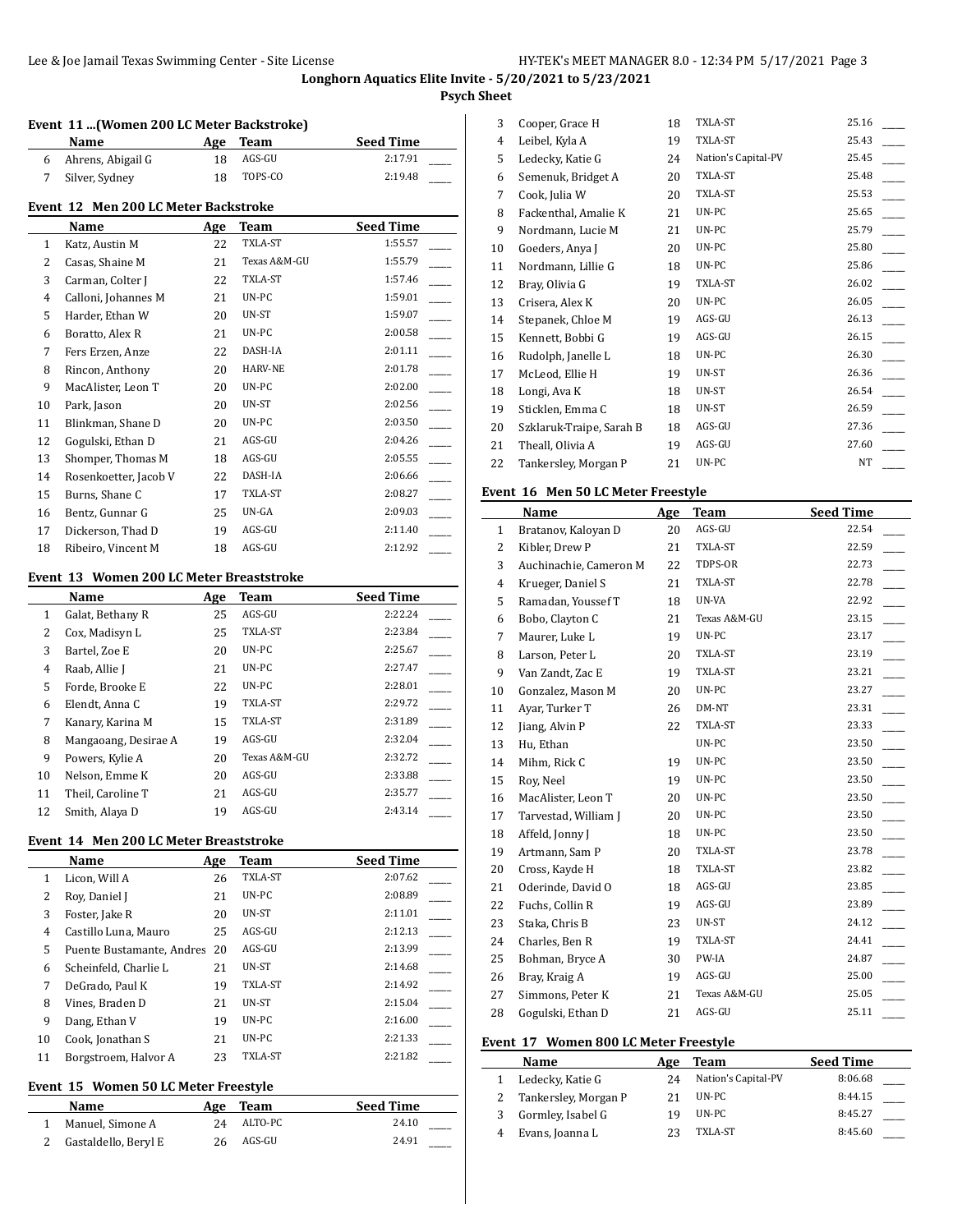#### **Psych Sheet**

#### **Event 11 ...(Women 200 LC Meter Backstroke)**

|   | Name                                 | Age | Team    |                          | <b>Seed Time</b> |
|---|--------------------------------------|-----|---------|--------------------------|------------------|
| 6 | Ahrens, Abigail G                    | 18  | AGS-GU  |                          | 2:17.91          |
|   | Silver, Sydney                       | 18  | TOPS-CO |                          | 2:19.48          |
|   | Event 12 Men 200 LC Meter Backstroke |     |         |                          |                  |
|   | $\blacksquare$                       |     |         | $\overline{\phantom{a}}$ | .                |

# **Name Age Team Seed Time** 1 Katz, Austin M 22 TXLA-ST 1:55.57 2 Casas, Shaine M 21 Texas A&M-GU 1:55.79 3 Carman, Colter J 22 TXLA-ST 1:57.46 4 Calloni, Johannes M 21 UN-PC 1:59.01 5 Harder, Ethan W 20 UN-ST 1:59.07 Boratto, Alex R 21 UN-PC 2:00.58 \_\_\_\_\_ 7 Fers Erzen, Anze 22 DASH-IA 2:01.11 8 Rincon, Anthony 20 HARV-NE 2:01.78 9 MacAlister, Leon T 20 UN-PC 2:02.00 10 Park, Jason 20 UN-ST 2:02.56 11 Blinkman, Shane D 20 UN-PC 2:03.50 12 Gogulski, Ethan D 21 AGS-GU 2:04.26 13 Shomper, Thomas M 18 AGS-GU 2:05.55 14 Rosenkoetter, Jacob V 22 DASH-IA 2:06.66 15 Burns, Shane C 17 TXLA-ST 2:08.27 16 Bentz, Gunnar G 25 UN-GA 2:09.03 17 Dickerson, Thad D 19 AGS-GU 2:11.40 18 Ribeiro, Vincent M 18 AGS-GU 2:12.92

#### **Event 13 Women 200 LC Meter Breaststroke**

 $\overline{a}$ 

|    | Name                 | Age | Team         | <b>Seed Time</b> |
|----|----------------------|-----|--------------|------------------|
| 1  | Galat, Bethany R     | 25  | AGS-GU       | 2:22.24          |
| 2  | Cox, Madisyn L       | 25  | TXLA-ST      | 2:23.84          |
| 3  | Bartel, Zoe E        | 20  | UN-PC        | 2:25.67          |
| 4  | Raab, Allie J        | 21  | UN-PC        | 2:27.47          |
| 5  | Forde, Brooke E      | 22  | UN-PC        | 2:28.01          |
| 6  | Elendt, Anna C       | 19  | TXLA-ST      | 2:29.72          |
| 7  | Kanary, Karina M     | 15  | TXLA-ST      | 2:31.89          |
| 8  | Mangaoang, Desirae A | 19  | AGS-GU       | 2:32.04          |
| 9  | Powers, Kylie A      | 20  | Texas A&M-GU | 2:32.72          |
| 10 | Nelson, Emme K       | 20  | AGS-GU       | 2:33.88          |
| 11 | Theil, Caroline T    | 21  | AGS-GU       | 2:35.77          |
| 12 | Smith, Alaya D       | 19  | AGS-GU       | 2:43.14          |

#### **Event 14 Men 200 LC Meter Breaststroke**

|    | Name                      | Age | Team           | <b>Seed Time</b> |
|----|---------------------------|-----|----------------|------------------|
| 1  | Licon, Will A             | 26  | TXLA-ST        | 2:07.62          |
| 2  | Roy, Daniel J             | 21  | UN-PC          | 2:08.89          |
| 3  | Foster, Jake R            | 20  | UN-ST          | 2:11.01          |
| 4  | Castillo Luna. Mauro      | 25  | AGS-GU         | 2:12.13          |
| 5  | Puente Bustamante, Andres | 20  | AGS-GU         | 2:13.99          |
| 6  | Scheinfeld, Charlie L     | 21  | UN-ST          | 2:14.68          |
| 7  | DeGrado, Paul K           | 19  | TXLA-ST        | 2:14.92          |
| 8  | Vines, Braden D           | 21  | UN-ST          | 2:15.04          |
| 9  | Dang, Ethan V             | 19  | UN-PC          | 2:16.00          |
| 10 | Cook, Jonathan S          | 21  | UN-PC          | 2:21.33          |
| 11 | Borgstroem, Halvor A      | 23  | <b>TXLA-ST</b> | 2:21.82          |

### **Event 15 Women 50 LC Meter Freestyle**

| Name                 |     | Age Team | <b>Seed Time</b> |
|----------------------|-----|----------|------------------|
| Manuel. Simone A     | 24  | ALTO-PC  | 24.10            |
| Gastaldello, Beryl E | 26. | AGS-GU   | 24.91            |

| 3  | Cooper, Grace H          | 18 | TXLA-ST             | 25.16 |
|----|--------------------------|----|---------------------|-------|
| 4  | Leibel, Kyla A           | 19 | TXLA-ST             | 25.43 |
| 5  | Ledecky, Katie G         | 24 | Nation's Capital-PV | 25.45 |
| 6  | Semenuk, Bridget A       | 20 | TXLA-ST             | 25.48 |
| 7  | Cook, Julia W            | 20 | TXLA-ST             | 25.53 |
| 8  | Fackenthal, Amalie K     | 21 | UN-PC               | 25.65 |
| 9  | Nordmann, Lucie M        | 21 | UN-PC               | 25.79 |
| 10 | Goeders, Anya J          | 20 | UN-PC               | 25.80 |
| 11 | Nordmann, Lillie G       | 18 | UN-PC               | 25.86 |
| 12 | Bray, Olivia G           | 19 | TXLA-ST             | 26.02 |
| 13 | Crisera, Alex K          | 20 | UN-PC               | 26.05 |
| 14 | Stepanek, Chloe M        | 19 | AGS-GU              | 26.13 |
| 15 | Kennett, Bobbi G         | 19 | AGS-GU              | 26.15 |
| 16 | Rudolph, Janelle L       | 18 | UN-PC               | 26.30 |
| 17 | McLeod, Ellie H          | 19 | UN-ST               | 26.36 |
| 18 | Longi, Ava K             | 18 | UN-ST               | 26.54 |
| 19 | Sticklen, Emma C         | 18 | UN-ST               | 26.59 |
| 20 | Szklaruk-Traipe, Sarah B | 18 | AGS-GU              | 27.36 |
| 21 | Theall, Olivia A         | 19 | AGS-GU              | 27.60 |
| 22 | Tankersley, Morgan P     | 21 | UN-PC               | NT    |
|    |                          |    |                     |       |

#### **Event 16 Men 50 LC Meter Freestyle**

|    | Name                   | Age | <b>Team</b>  | <b>Seed Time</b> |
|----|------------------------|-----|--------------|------------------|
| 1  | Bratanov, Kaloyan D    | 20  | AGS-GU       | 22.54            |
| 2  | Kibler, Drew P         | 21  | TXLA-ST      | 22.59            |
| 3  | Auchinachie, Cameron M | 22  | TDPS-OR      | 22.73            |
| 4  | Krueger, Daniel S      | 21  | TXLA-ST      | 22.78            |
| 5  | Ramadan, Youssef T     | 18  | UN-VA        | 22.92            |
| 6  | Bobo, Clayton C        | 21  | Texas A&M-GU | 23.15            |
| 7  | Maurer, Luke L         | 19  | UN-PC        | 23.17            |
| 8  | Larson, Peter L        | 20  | TXLA-ST      | 23.19            |
| 9  | Van Zandt, Zac E       | 19  | TXLA-ST      | 23.21            |
| 10 | Gonzalez, Mason M      | 20  | UN-PC        | 23.27            |
| 11 | Ayar, Turker T         | 26  | DM-NT        | 23.31            |
| 12 | Jiang, Alvin P         | 22  | TXLA-ST      | 23.33            |
| 13 | Hu, Ethan              |     | UN-PC        | 23.50            |
| 14 | Mihm, Rick C           | 19  | UN-PC        | 23.50            |
| 15 | Roy, Neel              | 19  | UN-PC        | 23.50            |
| 16 | MacAlister, Leon T     | 20  | UN-PC        | 23.50            |
| 17 | Tarvestad, William J   | 20  | UN-PC        | 23.50            |
| 18 | Affeld, Jonny J        | 18  | UN-PC        | 23.50            |
| 19 | Artmann, Sam P         | 20  | TXLA-ST      | 23.78            |
| 20 | Cross, Kayde H         | 18  | TXLA-ST      | 23.82            |
| 21 | Oderinde, David O      | 18  | AGS-GU       | 23.85            |
| 22 | Fuchs, Collin R        | 19  | AGS-GU       | 23.89            |
| 23 | Staka, Chris B         | 23  | UN-ST        | 24.12            |
| 24 | Charles, Ben R         | 19  | TXLA-ST      | 24.41            |
| 25 | Bohman, Bryce A        | 30  | PW-IA        | 24.87            |
| 26 | Bray, Kraig A          | 19  | AGS-GU       | 25.00            |
| 27 | Simmons, Peter K       | 21  | Texas A&M-GU | 25.05            |
| 28 | Gogulski, Ethan D      | 21  | AGS-GU       | 25.11            |

#### **Event 17 Women 800 LC Meter Freestyle**

| <b>Name</b>          | Age | Team                | <b>Seed Time</b> |  |
|----------------------|-----|---------------------|------------------|--|
| Ledecky, Katie G     | 24  | Nation's Capital-PV | 8:06.68          |  |
| Tankersley, Morgan P |     | UN-PC               | 8:44.15          |  |
| Gormley, Isabel G    |     | UN-PC               | 8:45.27          |  |
| Evans, Joanna L      |     | TXLA-ST             | 8:45.60          |  |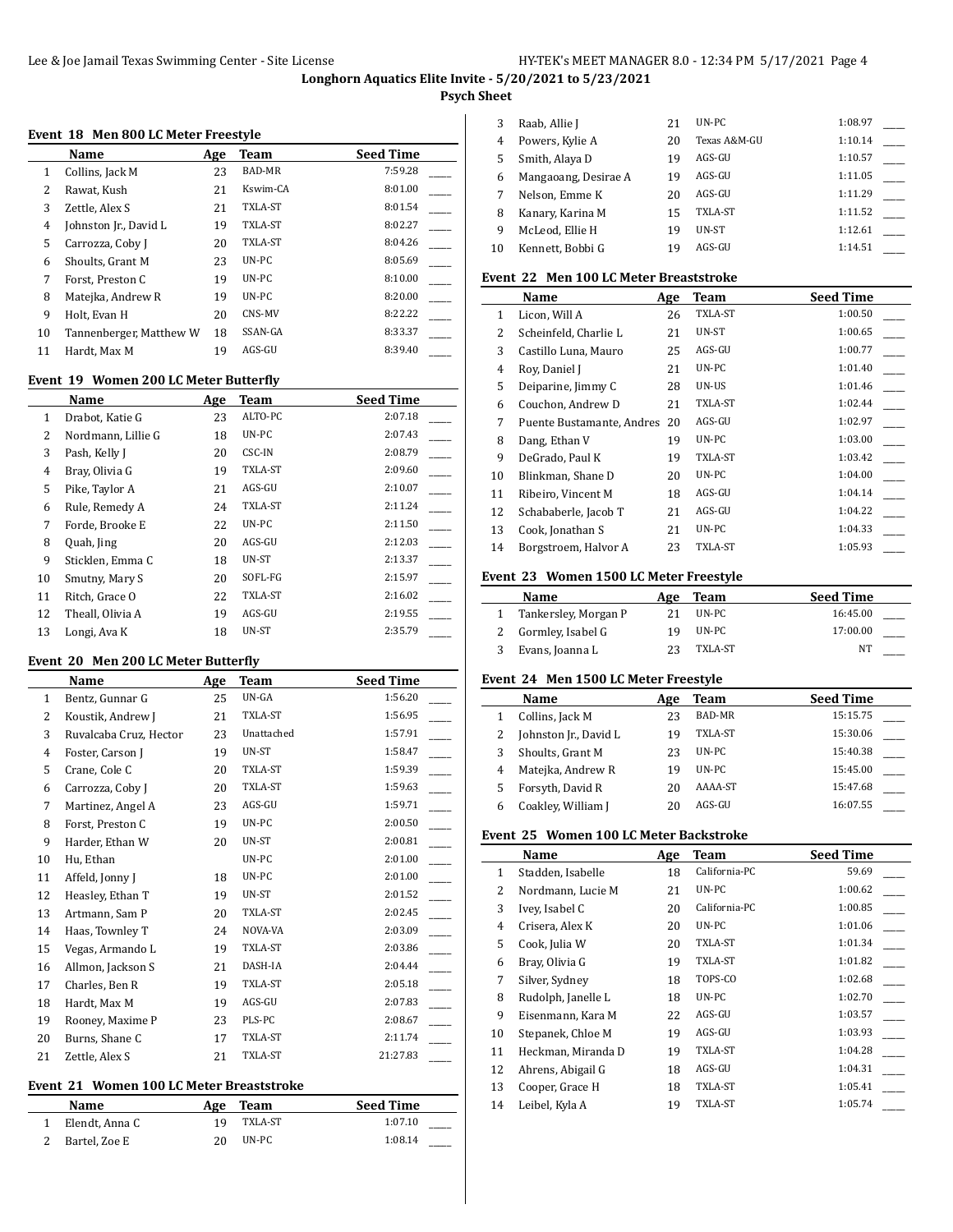### **Psych Sheet**

 $\overline{a}$ 

#### **Event 18 Men 800 LC Meter Freestyle**

|    | Name                    | Age | Team          | <b>Seed Time</b> |
|----|-------------------------|-----|---------------|------------------|
| 1  | Collins, Jack M         | 23  | <b>BAD-MR</b> | 7:59.28          |
| 2  | Rawat, Kush             | 21  | Kswim-CA      | 8:01.00          |
| 3  | Zettle, Alex S          | 21  | TXLA-ST       | 8:01.54          |
| 4  | Johnston Jr., David L   | 19  | TXLA-ST       | 8:02.27          |
| 5  | Carrozza, Coby J        | 20  | TXLA-ST       | 8:04.26          |
| 6  | Shoults, Grant M        | 23  | $UN-PC$       | 8:05.69          |
| 7  | Forst, Preston C        | 19  | UN-PC         | 8:10.00          |
| 8  | Matejka, Andrew R       | 19  | UN-PC         | 8:20.00          |
| 9  | Holt, Evan H            | 20  | CNS-MV        | 8:22.22          |
| 10 | Tannenberger, Matthew W | 18  | SSAN-GA       | 8:33.37          |
| 11 | Hardt, Max M            | 19  | AGS-GU        | 8:39.40          |

### **Event 19 Women 200 LC Meter Butterfly**

|    | Name               | Age | Team    | <b>Seed Time</b> |
|----|--------------------|-----|---------|------------------|
| 1  | Drabot, Katie G    | 23  | ALTO-PC | 2:07.18          |
| 2  | Nordmann, Lillie G | 18  | UN-PC   | 2:07.43          |
| 3  | Pash, Kelly J      | 20  | CSC-IN  | 2:08.79          |
| 4  | Bray, Olivia G     | 19  | TXLA-ST | 2:09.60          |
| 5  | Pike, Taylor A     | 21  | AGS-GU  | 2:10.07          |
| 6  | Rule, Remedy A     | 24  | TXLA-ST | 2:11.24          |
| 7  | Forde, Brooke E    | 22  | UN-PC   | 2:11.50          |
| 8  | Quah, Jing         | 20  | AGS-GU  | 2:12.03          |
| 9  | Sticklen, Emma C   | 18  | UN-ST   | 2:13.37          |
| 10 | Smutny, Mary S     | 20  | SOFL-FG | 2:15.97          |
| 11 | Ritch, Grace O     | 22  | TXLA-ST | 2:16.02          |
| 12 | Theall, Olivia A   | 19  | AGS-GU  | 2:19.55          |
| 13 | Longi, Ava K       | 18  | UN-ST   | 2:35.79          |

#### **Event 20 Men 200 LC Meter Butterfly**

 $\overline{a}$ 

|                | Name                   | Age | Team       | <b>Seed Time</b> |
|----------------|------------------------|-----|------------|------------------|
| $\mathbf{1}$   | Bentz, Gunnar G        | 25  | UN-GA      | 1:56.20          |
| $\overline{2}$ | Koustik, Andrew J      | 21  | TXLA-ST    | 1:56.95          |
| 3              | Ruvalcaba Cruz, Hector | 23  | Unattached | 1:57.91          |
| $\overline{4}$ | Foster, Carson J       | 19  | UN-ST      | 1:58.47          |
| 5              | Crane, Cole C          | 20  | TXLA-ST    | 1:59.39          |
| 6              | Carrozza, Coby J       | 20  | TXLA-ST    | 1:59.63          |
| 7              | Martinez, Angel A      | 23  | AGS-GU     | 1:59.71          |
| 8              | Forst, Preston C       | 19  | UN-PC      | 2:00.50          |
| 9              | Harder, Ethan W        | 20  | UN-ST      | 2:00.81          |
| 10             | Hu, Ethan              |     | UN-PC      | 2:01.00          |
| 11             | Affeld, Jonny J        | 18  | UN-PC      | 2:01.00          |
| 12             | Heasley, Ethan T       | 19  | UN-ST      | 2:01.52          |
| 13             | Artmann, Sam P         | 20  | TXLA-ST    | 2:02.45          |
| 14             | Haas, Townley T        | 24  | NOVA-VA    | 2:03.09          |
| 15             | Vegas, Armando L       | 19  | TXLA-ST    | 2:03.86          |
| 16             | Allmon, Jackson S      | 21  | DASH-IA    | 2:04.44          |
| 17             | Charles, Ben R         | 19  | TXLA-ST    | 2:05.18          |
| 18             | Hardt, Max M           | 19  | AGS-GU     | 2:07.83          |
| 19             | Rooney, Maxime P       | 23  | PLS-PC     | 2:08.67          |
| 20             | Burns, Shane C         | 17  | TXLA-ST    | 2:11.74          |
| 21             | Zettle, Alex S         | 21  | TXLA-ST    | 21:27.83         |

### **Event 21 Women 100 LC Meter Breaststroke**

| <b>Name</b>    | Age | Team    | <b>Seed Time</b> |
|----------------|-----|---------|------------------|
| Elendt, Anna C | 1 Q | TXLA-ST | 1:07.10          |
| Bartel, Zoe E  | 20  | UN-PC   | 1:08.14          |

| 3  | Raab, Allie J        | 21 | $UN-PC$      | 1:08.97 |  |
|----|----------------------|----|--------------|---------|--|
| 4  | Powers, Kylie A      | 20 | Texas A&M-GU | 1:10.14 |  |
| 5  | Smith, Alaya D       | 19 | AGS-GU       | 1:10.57 |  |
| 6  | Mangaoang, Desirae A | 19 | AGS-GU       | 1:11.05 |  |
|    | Nelson, Emme K       | 20 | AGS-GU       | 1:11.29 |  |
| 8  | Kanary, Karina M     | 15 | TXLA-ST      | 1:11.52 |  |
| 9  | McLeod. Ellie H      | 19 | UN-ST        | 1:12.61 |  |
| 10 | Kennett, Bobbi G     | 19 | AGS-GU       | 1:14.51 |  |
|    |                      |    |              |         |  |

## **Event 22 Men 100 LC Meter Breaststroke**

|              | Name                      | Age | Team    | <b>Seed Time</b> |
|--------------|---------------------------|-----|---------|------------------|
| $\mathbf{1}$ | Licon, Will A             | 26  | TXLA-ST | 1:00.50          |
| 2            | Scheinfeld, Charlie L     | 21  | UN-ST   | 1:00.65          |
| 3            | Castillo Luna, Mauro      | 25  | AGS-GU  | 1:00.77          |
| 4            | Roy, Daniel J             | 21  | UN-PC   | 1:01.40          |
| 5            | Deiparine, Jimmy C        | 28  | UN-US   | 1:01.46          |
| 6            | Couchon, Andrew D         | 21  | TXLA-ST | 1:02.44          |
| 7            | Puente Bustamante, Andres | 20  | AGS-GU  | 1:02.97          |
| 8            | Dang, Ethan V             | 19  | UN-PC   | 1:03.00          |
| 9            | DeGrado, Paul K           | 19  | TXLA-ST | 1:03.42          |
| 10           | Blinkman, Shane D         | 20  | UN-PC   | 1:04.00          |
| 11           | Ribeiro, Vincent M        | 18  | AGS-GU  | 1:04.14          |
| 12           | Schababerle, Jacob T      | 21  | AGS-GU  | 1:04.22          |
| 13           | Cook, Jonathan S          | 21  | UN-PC   | 1:04.33          |
| 14           | Borgstroem, Halvor A      | 23  | TXLA-ST | 1:05.93          |

# **Event 23 Women 1500 LC Meter Freestyle**

| Name                 | Age | Team    | <b>Seed Time</b> |  |
|----------------------|-----|---------|------------------|--|
| Tankersley, Morgan P |     | UN-PC   | 16:45.00         |  |
| Gormley, Isabel G    | 19  | UN-PC   | 17:00.00         |  |
| Evans, Joanna L      |     | TXLA-ST | NT               |  |

# **Event 24 Men 1500 LC Meter Freestyle**

|   | Name                  | Age | Team          | <b>Seed Time</b> |
|---|-----------------------|-----|---------------|------------------|
|   | Collins, Jack M       | 23  | <b>BAD-MR</b> | 15:15.75         |
|   | Johnston Jr., David L | 19  | TXLA-ST       | 15:30.06         |
| 3 | Shoults, Grant M      | 23  | $UN-PC$       | 15:40.38         |
| 4 | Matejka, Andrew R     | 19  | $UN-PC$       | 15:45.00         |
| 5 | Forsyth, David R      | 20  | AAAA-ST       | 15:47.68         |
| 6 | Coakley, William J    | 20  | AGS-GU        | 16:07.55         |

# **Event 25 Women 100 LC Meter Backstroke**

|              | Name               | Age | Team          | <b>Seed Time</b> |
|--------------|--------------------|-----|---------------|------------------|
| $\mathbf{1}$ | Stadden, Isabelle  | 18  | California-PC | 59.69            |
| 2            | Nordmann, Lucie M  | 21  | UN-PC         | 1:00.62          |
| 3            | Ivey, Isabel C     | 20  | California-PC | 1:00.85          |
| 4            | Crisera, Alex K    | 20  | UN-PC         | 1:01.06          |
| 5            | Cook, Julia W      | 20  | TXLA-ST       | 1:01.34          |
| 6            | Bray, Olivia G     | 19  | TXLA-ST       | 1:01.82          |
| 7            | Silver, Sydney     | 18  | TOPS-CO       | 1:02.68          |
| 8            | Rudolph, Janelle L | 18  | UN-PC         | 1:02.70          |
| 9            | Eisenmann, Kara M  | 22  | AGS-GU        | 1:03.57          |
| 10           | Stepanek, Chloe M  | 19  | AGS-GU        | 1:03.93          |
| 11           | Heckman, Miranda D | 19  | TXLA-ST       | 1:04.28          |
| 12           | Ahrens, Abigail G  | 18  | AGS-GU        | 1:04.31          |
| 13           | Cooper, Grace H    | 18  | TXLA-ST       | 1:05.41          |
| 14           | Leibel, Kyla A     | 19  | TXLA-ST       | 1:05.74          |